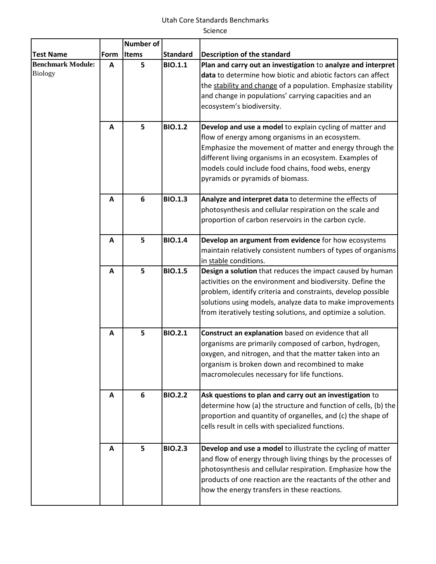## Utah Core Standards Benchmarks

Science

|                                            |              | Number of |                 |                                                                                                                                                                                                                                                                                                                              |
|--------------------------------------------|--------------|-----------|-----------------|------------------------------------------------------------------------------------------------------------------------------------------------------------------------------------------------------------------------------------------------------------------------------------------------------------------------------|
| <b>Test Name</b>                           | Form         | Items     | <b>Standard</b> | <b>Description of the standard</b>                                                                                                                                                                                                                                                                                           |
| <b>Benchmark Module:</b><br><b>Biology</b> | A            | 5         | <b>BIO.1.1</b>  | Plan and carry out an investigation to analyze and interpret<br>data to determine how biotic and abiotic factors can affect<br>the stability and change of a population. Emphasize stability<br>and change in populations' carrying capacities and an<br>ecosystem's biodiversity.                                           |
|                                            | A            | 5         | <b>BIO.1.2</b>  | Develop and use a model to explain cycling of matter and<br>flow of energy among organisms in an ecosystem.<br>Emphasize the movement of matter and energy through the<br>different living organisms in an ecosystem. Examples of<br>models could include food chains, food webs, energy<br>pyramids or pyramids of biomass. |
|                                            | A            | 6         | <b>BIO.1.3</b>  | Analyze and interpret data to determine the effects of<br>photosynthesis and cellular respiration on the scale and<br>proportion of carbon reservoirs in the carbon cycle.                                                                                                                                                   |
|                                            | A            | 5         | <b>BIO.1.4</b>  | Develop an argument from evidence for how ecosystems<br>maintain relatively consistent numbers of types of organisms<br>in stable conditions.                                                                                                                                                                                |
|                                            | A            | 5         | <b>BIO.1.5</b>  | Design a solution that reduces the impact caused by human<br>activities on the environment and biodiversity. Define the<br>problem, identify criteria and constraints, develop possible<br>solutions using models, analyze data to make improvements<br>from iteratively testing solutions, and optimize a solution.         |
|                                            | $\mathbf{A}$ | 5         | <b>BIO.2.1</b>  | Construct an explanation based on evidence that all<br>organisms are primarily composed of carbon, hydrogen,<br>oxygen, and nitrogen, and that the matter taken into an<br>organism is broken down and recombined to make<br>macromolecules necessary for life functions.                                                    |
|                                            | A            | 6         | <b>BIO.2.2</b>  | Ask questions to plan and carry out an investigation to<br>determine how (a) the structure and function of cells, (b) the<br>proportion and quantity of organelles, and (c) the shape of<br>cells result in cells with specialized functions.                                                                                |
|                                            | A            | 5         | <b>BIO.2.3</b>  | Develop and use a model to illustrate the cycling of matter<br>and flow of energy through living things by the processes of<br>photosynthesis and cellular respiration. Emphasize how the<br>products of one reaction are the reactants of the other and<br>how the energy transfers in these reactions.                     |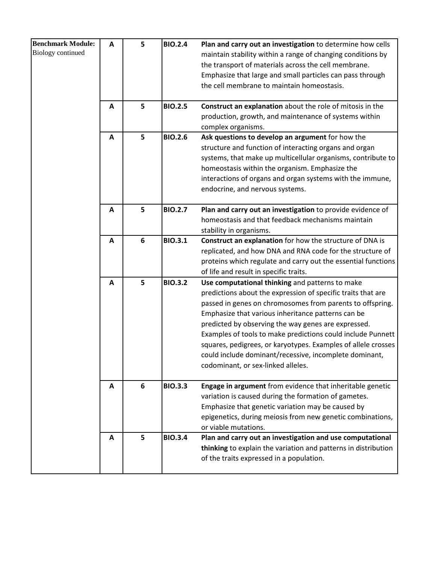| <b>Benchmark Module:</b><br><b>Biology</b> continued | A | 5 | <b>BIO.2.4</b> | Plan and carry out an investigation to determine how cells<br>maintain stability within a range of changing conditions by<br>the transport of materials across the cell membrane.<br>Emphasize that large and small particles can pass through<br>the cell membrane to maintain homeostasis.                                                                                                                                                                                                                              |
|------------------------------------------------------|---|---|----------------|---------------------------------------------------------------------------------------------------------------------------------------------------------------------------------------------------------------------------------------------------------------------------------------------------------------------------------------------------------------------------------------------------------------------------------------------------------------------------------------------------------------------------|
|                                                      | A | 5 | <b>BIO.2.5</b> | Construct an explanation about the role of mitosis in the<br>production, growth, and maintenance of systems within<br>complex organisms.                                                                                                                                                                                                                                                                                                                                                                                  |
|                                                      | A | 5 | <b>BIO.2.6</b> | Ask questions to develop an argument for how the<br>structure and function of interacting organs and organ<br>systems, that make up multicellular organisms, contribute to<br>homeostasis within the organism. Emphasize the<br>interactions of organs and organ systems with the immune,<br>endocrine, and nervous systems.                                                                                                                                                                                              |
|                                                      | A | 5 | <b>BIO.2.7</b> | Plan and carry out an investigation to provide evidence of<br>homeostasis and that feedback mechanisms maintain<br>stability in organisms.                                                                                                                                                                                                                                                                                                                                                                                |
|                                                      | A | 6 | <b>BIO.3.1</b> | Construct an explanation for how the structure of DNA is<br>replicated, and how DNA and RNA code for the structure of<br>proteins which regulate and carry out the essential functions<br>of life and result in specific traits.                                                                                                                                                                                                                                                                                          |
|                                                      | A | 5 | <b>BIO.3.2</b> | Use computational thinking and patterns to make<br>predictions about the expression of specific traits that are<br>passed in genes on chromosomes from parents to offspring.<br>Emphasize that various inheritance patterns can be<br>predicted by observing the way genes are expressed.<br>Examples of tools to make predictions could include Punnett<br>squares, pedigrees, or karyotypes. Examples of allele crosses<br>could include dominant/recessive, incomplete dominant,<br>codominant, or sex-linked alleles. |
|                                                      | A | 6 | <b>BIO.3.3</b> | Engage in argument from evidence that inheritable genetic<br>variation is caused during the formation of gametes.<br>Emphasize that genetic variation may be caused by<br>epigenetics, during meiosis from new genetic combinations,<br>or viable mutations.                                                                                                                                                                                                                                                              |
|                                                      | A | 5 | <b>BIO.3.4</b> | Plan and carry out an investigation and use computational<br>thinking to explain the variation and patterns in distribution<br>of the traits expressed in a population.                                                                                                                                                                                                                                                                                                                                                   |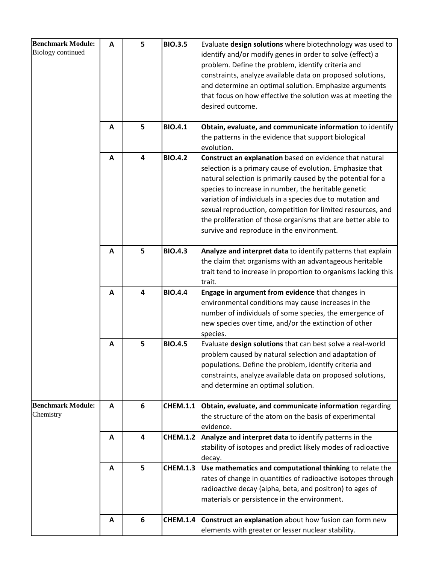| <b>Benchmark Module:</b> | A | 5 | <b>BIO.3.5</b>  | Evaluate design solutions where biotechnology was used to        |
|--------------------------|---|---|-----------------|------------------------------------------------------------------|
| <b>Biology</b> continued |   |   |                 | identify and/or modify genes in order to solve (effect) a        |
|                          |   |   |                 | problem. Define the problem, identify criteria and               |
|                          |   |   |                 | constraints, analyze available data on proposed solutions,       |
|                          |   |   |                 | and determine an optimal solution. Emphasize arguments           |
|                          |   |   |                 | that focus on how effective the solution was at meeting the      |
|                          |   |   |                 | desired outcome.                                                 |
|                          |   |   |                 |                                                                  |
|                          | A | 5 | <b>BIO.4.1</b>  | Obtain, evaluate, and communicate information to identify        |
|                          |   |   |                 | the patterns in the evidence that support biological             |
|                          |   |   |                 | evolution.                                                       |
|                          | A | 4 | <b>BIO.4.2</b>  | Construct an explanation based on evidence that natural          |
|                          |   |   |                 | selection is a primary cause of evolution. Emphasize that        |
|                          |   |   |                 | natural selection is primarily caused by the potential for a     |
|                          |   |   |                 | species to increase in number, the heritable genetic             |
|                          |   |   |                 | variation of individuals in a species due to mutation and        |
|                          |   |   |                 | sexual reproduction, competition for limited resources, and      |
|                          |   |   |                 | the proliferation of those organisms that are better able to     |
|                          |   |   |                 | survive and reproduce in the environment.                        |
|                          |   |   |                 |                                                                  |
|                          | A | 5 | <b>BIO.4.3</b>  | Analyze and interpret data to identify patterns that explain     |
|                          |   |   |                 | the claim that organisms with an advantageous heritable          |
|                          |   |   |                 | trait tend to increase in proportion to organisms lacking this   |
|                          |   |   |                 | trait.                                                           |
|                          | A | 4 | <b>BIO.4.4</b>  | Engage in argument from evidence that changes in                 |
|                          |   |   |                 | environmental conditions may cause increases in the              |
|                          |   |   |                 | number of individuals of some species, the emergence of          |
|                          |   |   |                 | new species over time, and/or the extinction of other            |
|                          |   |   |                 | species.                                                         |
|                          | A | 5 | <b>BIO.4.5</b>  | Evaluate design solutions that can best solve a real-world       |
|                          |   |   |                 | problem caused by natural selection and adaptation of            |
|                          |   |   |                 | populations. Define the problem, identify criteria and           |
|                          |   |   |                 | constraints, analyze available data on proposed solutions,       |
|                          |   |   |                 | and determine an optimal solution.                               |
| <b>Benchmark Module:</b> | A | 6 |                 | CHEM.1.1 Obtain, evaluate, and communicate information regarding |
| Chemistry                |   |   |                 | the structure of the atom on the basis of experimental           |
|                          |   |   |                 | evidence.                                                        |
|                          | A | 4 | <b>CHEM.1.2</b> | Analyze and interpret data to identify patterns in the           |
|                          |   |   |                 | stability of isotopes and predict likely modes of radioactive    |
|                          |   |   |                 | decay.                                                           |
|                          | A | 5 | <b>CHEM.1.3</b> | Use mathematics and computational thinking to relate the         |
|                          |   |   |                 | rates of change in quantities of radioactive isotopes through    |
|                          |   |   |                 | radioactive decay (alpha, beta, and positron) to ages of         |
|                          |   |   |                 | materials or persistence in the environment.                     |
|                          |   |   |                 |                                                                  |
|                          | A | 6 |                 | CHEM.1.4 Construct an explanation about how fusion can form new  |
|                          |   |   |                 | elements with greater or lesser nuclear stability.               |
|                          |   |   |                 |                                                                  |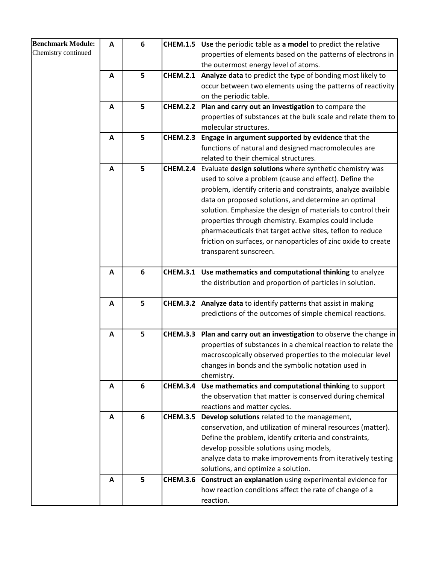| <b>Benchmark Module:</b> | A                | 6 | <b>CHEM.1.5</b> | Use the periodic table as a model to predict the relative        |
|--------------------------|------------------|---|-----------------|------------------------------------------------------------------|
| Chemistry continued      |                  |   |                 |                                                                  |
|                          |                  |   |                 | properties of elements based on the patterns of electrons in     |
|                          |                  |   |                 | the outermost energy level of atoms.                             |
|                          | $\mathbf{A}$     | 5 | <b>CHEM.2.1</b> | Analyze data to predict the type of bonding most likely to       |
|                          |                  |   |                 | occur between two elements using the patterns of reactivity      |
|                          |                  |   |                 | on the periodic table.                                           |
|                          | A                | 5 | <b>CHEM.2.2</b> | Plan and carry out an investigation to compare the               |
|                          |                  |   |                 | properties of substances at the bulk scale and relate them to    |
|                          |                  |   |                 | molecular structures.                                            |
|                          | $\boldsymbol{A}$ | 5 | <b>CHEM.2.3</b> | Engage in argument supported by evidence that the                |
|                          |                  |   |                 | functions of natural and designed macromolecules are             |
|                          |                  | 5 |                 | related to their chemical structures.                            |
|                          | A                |   | <b>CHEM.2.4</b> | Evaluate design solutions where synthetic chemistry was          |
|                          |                  |   |                 | used to solve a problem (cause and effect). Define the           |
|                          |                  |   |                 | problem, identify criteria and constraints, analyze available    |
|                          |                  |   |                 | data on proposed solutions, and determine an optimal             |
|                          |                  |   |                 | solution. Emphasize the design of materials to control their     |
|                          |                  |   |                 | properties through chemistry. Examples could include             |
|                          |                  |   |                 | pharmaceuticals that target active sites, teflon to reduce       |
|                          |                  |   |                 | friction on surfaces, or nanoparticles of zinc oxide to create   |
|                          |                  |   |                 | transparent sunscreen.                                           |
|                          | A                | 6 | <b>CHEM.3.1</b> | Use mathematics and computational thinking to analyze            |
|                          |                  |   |                 | the distribution and proportion of particles in solution.        |
|                          |                  |   |                 |                                                                  |
|                          | A                | 5 |                 | CHEM.3.2 Analyze data to identify patterns that assist in making |
|                          |                  |   |                 | predictions of the outcomes of simple chemical reactions.        |
|                          |                  |   |                 |                                                                  |
|                          | A                | 5 | <b>CHEM.3.3</b> | Plan and carry out an investigation to observe the change in     |
|                          |                  |   |                 | properties of substances in a chemical reaction to relate the    |
|                          |                  |   |                 | macroscopically observed properties to the molecular level       |
|                          |                  |   |                 | changes in bonds and the symbolic notation used in               |
|                          |                  |   |                 | chemistry.                                                       |
|                          | A                | 6 | <b>CHEM.3.4</b> | Use mathematics and computational thinking to support            |
|                          |                  |   |                 | the observation that matter is conserved during chemical         |
|                          |                  |   |                 | reactions and matter cycles.                                     |
|                          | A                | 6 | <b>CHEM.3.5</b> | Develop solutions related to the management,                     |
|                          |                  |   |                 | conservation, and utilization of mineral resources (matter).     |
|                          |                  |   |                 | Define the problem, identify criteria and constraints,           |
|                          |                  |   |                 | develop possible solutions using models,                         |
|                          |                  |   |                 | analyze data to make improvements from iteratively testing       |
|                          |                  |   |                 | solutions, and optimize a solution.                              |
|                          | A                | 5 | <b>CHEM.3.6</b> | Construct an explanation using experimental evidence for         |
|                          |                  |   |                 | how reaction conditions affect the rate of change of a           |
|                          |                  |   |                 | reaction.                                                        |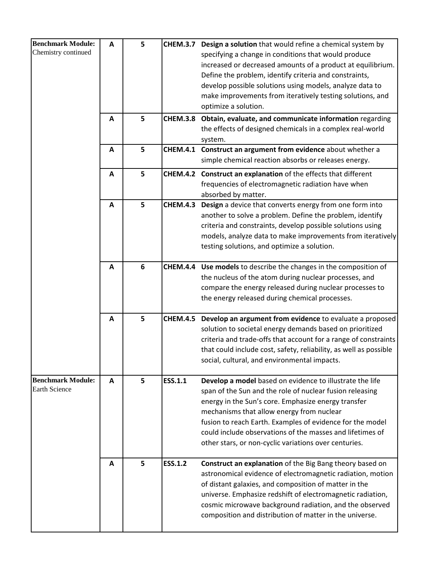| <b>Benchmark Module:</b> | Α            | 5 |                 | CHEM.3.7 Design a solution that would refine a chemical system by |
|--------------------------|--------------|---|-----------------|-------------------------------------------------------------------|
| Chemistry continued      |              |   |                 | specifying a change in conditions that would produce              |
|                          |              |   |                 | increased or decreased amounts of a product at equilibrium.       |
|                          |              |   |                 | Define the problem, identify criteria and constraints,            |
|                          |              |   |                 | develop possible solutions using models, analyze data to          |
|                          |              |   |                 | make improvements from iteratively testing solutions, and         |
|                          |              |   |                 | optimize a solution.                                              |
|                          |              |   |                 |                                                                   |
|                          | A            | 5 | <b>CHEM.3.8</b> | Obtain, evaluate, and communicate information regarding           |
|                          |              |   |                 | the effects of designed chemicals in a complex real-world         |
|                          |              |   |                 | system.                                                           |
|                          | A            | 5 | <b>CHEM.4.1</b> | Construct an argument from evidence about whether a               |
|                          |              |   |                 | simple chemical reaction absorbs or releases energy.              |
|                          | $\mathbf{A}$ | 5 |                 | CHEM.4.2 Construct an explanation of the effects that different   |
|                          |              |   |                 | frequencies of electromagnetic radiation have when                |
|                          |              |   |                 | absorbed by matter.                                               |
|                          | A            | 5 | <b>CHEM.4.3</b> | Design a device that converts energy from one form into           |
|                          |              |   |                 | another to solve a problem. Define the problem, identify          |
|                          |              |   |                 | criteria and constraints, develop possible solutions using        |
|                          |              |   |                 | models, analyze data to make improvements from iteratively        |
|                          |              |   |                 | testing solutions, and optimize a solution.                       |
|                          |              |   |                 |                                                                   |
|                          | A            | 6 |                 | CHEM.4.4 Use models to describe the changes in the composition of |
|                          |              |   |                 | the nucleus of the atom during nuclear processes, and             |
|                          |              |   |                 | compare the energy released during nuclear processes to           |
|                          |              |   |                 | the energy released during chemical processes.                    |
|                          |              |   |                 |                                                                   |
|                          | A            | 5 | <b>CHEM.4.5</b> | Develop an argument from evidence to evaluate a proposed          |
|                          |              |   |                 | solution to societal energy demands based on prioritized          |
|                          |              |   |                 | criteria and trade-offs that account for a range of constraints   |
|                          |              |   |                 | that could include cost, safety, reliability, as well as possible |
|                          |              |   |                 | social, cultural, and environmental impacts.                      |
|                          |              |   |                 |                                                                   |
| <b>Benchmark Module:</b> | A            | 5 | ESS.1.1         | Develop a model based on evidence to illustrate the life          |
| <b>Earth Science</b>     |              |   |                 | span of the Sun and the role of nuclear fusion releasing          |
|                          |              |   |                 | energy in the Sun's core. Emphasize energy transfer               |
|                          |              |   |                 | mechanisms that allow energy from nuclear                         |
|                          |              |   |                 | fusion to reach Earth. Examples of evidence for the model         |
|                          |              |   |                 | could include observations of the masses and lifetimes of         |
|                          |              |   |                 |                                                                   |
|                          |              |   |                 | other stars, or non-cyclic variations over centuries.             |
|                          | A            | 5 | <b>ESS.1.2</b>  | Construct an explanation of the Big Bang theory based on          |
|                          |              |   |                 |                                                                   |
|                          |              |   |                 | astronomical evidence of electromagnetic radiation, motion        |
|                          |              |   |                 | of distant galaxies, and composition of matter in the             |
|                          |              |   |                 | universe. Emphasize redshift of electromagnetic radiation,        |
|                          |              |   |                 | cosmic microwave background radiation, and the observed           |
|                          |              |   |                 | composition and distribution of matter in the universe.           |
|                          |              |   |                 |                                                                   |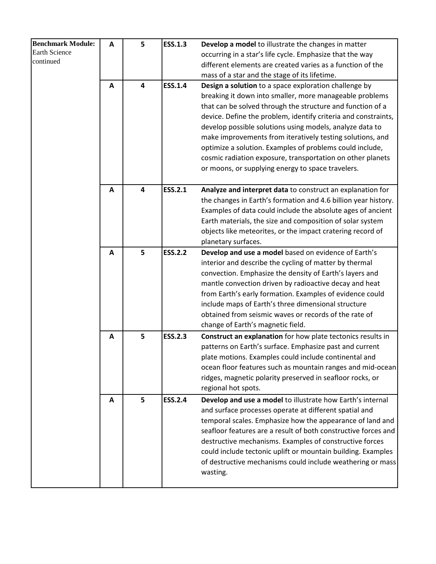| <b>Benchmark Module:</b> | A            | 5                       | <b>ESS.1.3</b> | Develop a model to illustrate the changes in matter                                                                                                                                                                                                                                                                                                                                                                                                                                                                                                      |
|--------------------------|--------------|-------------------------|----------------|----------------------------------------------------------------------------------------------------------------------------------------------------------------------------------------------------------------------------------------------------------------------------------------------------------------------------------------------------------------------------------------------------------------------------------------------------------------------------------------------------------------------------------------------------------|
| <b>Earth Science</b>     |              |                         |                | occurring in a star's life cycle. Emphasize that the way                                                                                                                                                                                                                                                                                                                                                                                                                                                                                                 |
| continued                |              |                         |                | different elements are created varies as a function of the                                                                                                                                                                                                                                                                                                                                                                                                                                                                                               |
|                          |              |                         |                | mass of a star and the stage of its lifetime.                                                                                                                                                                                                                                                                                                                                                                                                                                                                                                            |
|                          | $\mathbf{A}$ | $\overline{\mathbf{4}}$ | <b>ESS.1.4</b> | Design a solution to a space exploration challenge by<br>breaking it down into smaller, more manageable problems<br>that can be solved through the structure and function of a<br>device. Define the problem, identify criteria and constraints,<br>develop possible solutions using models, analyze data to<br>make improvements from iteratively testing solutions, and<br>optimize a solution. Examples of problems could include,<br>cosmic radiation exposure, transportation on other planets<br>or moons, or supplying energy to space travelers. |
|                          | A            | $\overline{\mathbf{4}}$ | <b>ESS.2.1</b> | Analyze and interpret data to construct an explanation for                                                                                                                                                                                                                                                                                                                                                                                                                                                                                               |
|                          |              |                         |                | the changes in Earth's formation and 4.6 billion year history.<br>Examples of data could include the absolute ages of ancient<br>Earth materials, the size and composition of solar system<br>objects like meteorites, or the impact cratering record of<br>planetary surfaces.                                                                                                                                                                                                                                                                          |
|                          | A            | 5                       | <b>ESS.2.2</b> | Develop and use a model based on evidence of Earth's<br>interior and describe the cycling of matter by thermal<br>convection. Emphasize the density of Earth's layers and<br>mantle convection driven by radioactive decay and heat<br>from Earth's early formation. Examples of evidence could<br>include maps of Earth's three dimensional structure<br>obtained from seismic waves or records of the rate of<br>change of Earth's magnetic field.                                                                                                     |
|                          | Α            | 5                       | <b>ESS.2.3</b> | Construct an explanation for how plate tectonics results in<br>patterns on Earth's surface. Emphasize past and current<br>plate motions. Examples could include continental and<br>ocean floor features such as mountain ranges and mid-ocean<br>ridges, magnetic polarity preserved in seafloor rocks, or<br>regional hot spots.                                                                                                                                                                                                                        |
|                          | A            | 5                       | <b>ESS.2.4</b> | Develop and use a model to illustrate how Earth's internal<br>and surface processes operate at different spatial and<br>temporal scales. Emphasize how the appearance of land and<br>seafloor features are a result of both constructive forces and<br>destructive mechanisms. Examples of constructive forces<br>could include tectonic uplift or mountain building. Examples<br>of destructive mechanisms could include weathering or mass<br>wasting.                                                                                                 |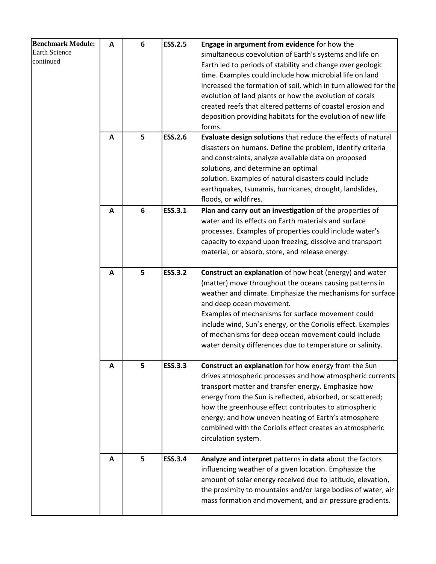| <b>Benchmark Module:</b> | A | 6 | <b>ESS.2.5</b> | Engage in argument from evidence for how the                   |
|--------------------------|---|---|----------------|----------------------------------------------------------------|
| <b>Earth Science</b>     |   |   |                | simultaneous coevolution of Earth's systems and life on        |
| continued                |   |   |                | Earth led to periods of stability and change over geologic     |
|                          |   |   |                | time. Examples could include how microbial life on land        |
|                          |   |   |                | increased the formation of soil, which in turn allowed for the |
|                          |   |   |                | evolution of land plants or how the evolution of corals        |
|                          |   |   |                | created reefs that altered patterns of coastal erosion and     |
|                          |   |   |                | deposition providing habitats for the evolution of new life    |
|                          |   |   |                | forms.                                                         |
|                          | A | 5 | <b>ESS.2.6</b> | Evaluate design solutions that reduce the effects of natural   |
|                          |   |   |                | disasters on humans. Define the problem, identify criteria     |
|                          |   |   |                | and constraints, analyze available data on proposed            |
|                          |   |   |                | solutions, and determine an optimal                            |
|                          |   |   |                | solution. Examples of natural disasters could include          |
|                          |   |   |                | earthquakes, tsunamis, hurricanes, drought, landslides,        |
|                          |   |   |                | floods, or wildfires.                                          |
|                          | A | 6 | ESS.3.1        | Plan and carry out an investigation of the properties of       |
|                          |   |   |                | water and its effects on Earth materials and surface           |
|                          |   |   |                | processes. Examples of properties could include water's        |
|                          |   |   |                | capacity to expand upon freezing, dissolve and transport       |
|                          |   |   |                | material, or absorb, store, and release energy.                |
|                          |   |   |                |                                                                |
|                          | A | 5 | <b>ESS.3.2</b> | Construct an explanation of how heat (energy) and water        |
|                          |   |   |                | (matter) move throughout the oceans causing patterns in        |
|                          |   |   |                | weather and climate. Emphasize the mechanisms for surface      |
|                          |   |   |                | and deep ocean movement.                                       |
|                          |   |   |                | Examples of mechanisms for surface movement could              |
|                          |   |   |                | include wind, Sun's energy, or the Coriolis effect. Examples   |
|                          |   |   |                | of mechanisms for deep ocean movement could include            |
|                          |   |   |                | water density differences due to temperature or salinity.      |
|                          |   |   |                |                                                                |
|                          | A | 5 | <b>ESS.3.3</b> | Construct an explanation for how energy from the Sun           |
|                          |   |   |                | drives atmospheric processes and how atmospheric currents      |
|                          |   |   |                | transport matter and transfer energy. Emphasize how            |
|                          |   |   |                | energy from the Sun is reflected, absorbed, or scattered;      |
|                          |   |   |                | how the greenhouse effect contributes to atmospheric           |
|                          |   |   |                | energy; and how uneven heating of Earth's atmosphere           |
|                          |   |   |                | combined with the Coriolis effect creates an atmospheric       |
|                          |   |   |                | circulation system.                                            |
|                          |   |   |                |                                                                |
|                          | A | 5 | <b>ESS.3.4</b> | Analyze and interpret patterns in data about the factors       |
|                          |   |   |                | influencing weather of a given location. Emphasize the         |
|                          |   |   |                | amount of solar energy received due to latitude, elevation,    |
|                          |   |   |                | the proximity to mountains and/or large bodies of water, air   |
|                          |   |   |                | mass formation and movement, and air pressure gradients.       |
|                          |   |   |                |                                                                |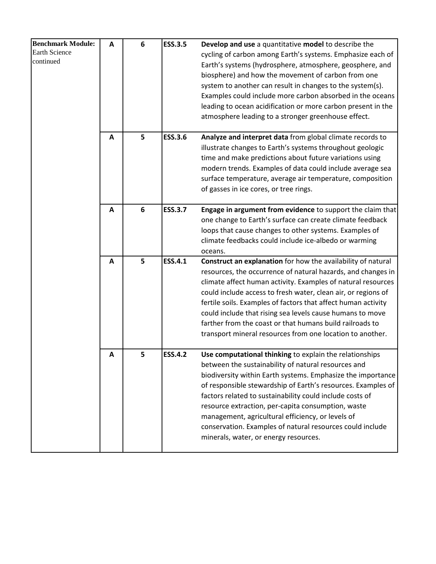| <b>Benchmark Module:</b><br><b>Earth Science</b><br>continued | A | 6               | <b>ESS.3.5</b> | Develop and use a quantitative model to describe the<br>cycling of carbon among Earth's systems. Emphasize each of<br>Earth's systems (hydrosphere, atmosphere, geosphere, and<br>biosphere) and how the movement of carbon from one<br>system to another can result in changes to the system(s).<br>Examples could include more carbon absorbed in the oceans<br>leading to ocean acidification or more carbon present in the<br>atmosphere leading to a stronger greenhouse effect.                                      |
|---------------------------------------------------------------|---|-----------------|----------------|----------------------------------------------------------------------------------------------------------------------------------------------------------------------------------------------------------------------------------------------------------------------------------------------------------------------------------------------------------------------------------------------------------------------------------------------------------------------------------------------------------------------------|
|                                                               | A | 5               | <b>ESS.3.6</b> | Analyze and interpret data from global climate records to<br>illustrate changes to Earth's systems throughout geologic<br>time and make predictions about future variations using<br>modern trends. Examples of data could include average sea<br>surface temperature, average air temperature, composition<br>of gasses in ice cores, or tree rings.                                                                                                                                                                      |
|                                                               | A | $6\phantom{1}6$ | <b>ESS.3.7</b> | Engage in argument from evidence to support the claim that<br>one change to Earth's surface can create climate feedback<br>loops that cause changes to other systems. Examples of<br>climate feedbacks could include ice-albedo or warming<br>oceans.                                                                                                                                                                                                                                                                      |
|                                                               | A | 5               | <b>ESS.4.1</b> | Construct an explanation for how the availability of natural<br>resources, the occurrence of natural hazards, and changes in<br>climate affect human activity. Examples of natural resources<br>could include access to fresh water, clean air, or regions of<br>fertile soils. Examples of factors that affect human activity<br>could include that rising sea levels cause humans to move<br>farther from the coast or that humans build railroads to<br>transport mineral resources from one location to another.       |
|                                                               | Α | 5               | <b>ESS.4.2</b> | Use computational thinking to explain the relationships<br>between the sustainability of natural resources and<br>biodiversity within Earth systems. Emphasize the importance<br>of responsible stewardship of Earth's resources. Examples of<br>factors related to sustainability could include costs of<br>resource extraction, per-capita consumption, waste<br>management, agricultural efficiency, or levels of<br>conservation. Examples of natural resources could include<br>minerals, water, or energy resources. |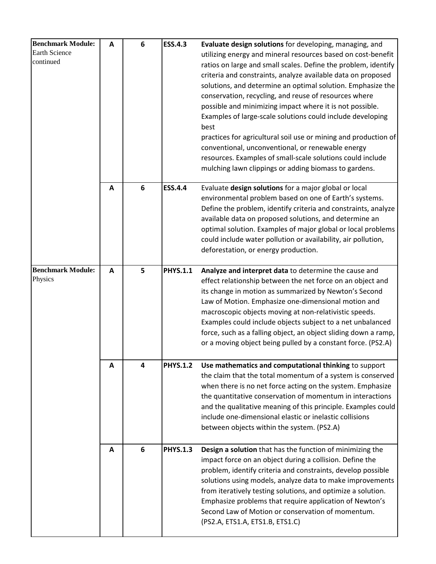| <b>Benchmark Module:</b><br>Earth Science<br>continued | A | 6 | <b>ESS.4.3</b>  | Evaluate design solutions for developing, managing, and<br>utilizing energy and mineral resources based on cost-benefit<br>ratios on large and small scales. Define the problem, identify<br>criteria and constraints, analyze available data on proposed<br>solutions, and determine an optimal solution. Emphasize the<br>conservation, recycling, and reuse of resources where<br>possible and minimizing impact where it is not possible.<br>Examples of large-scale solutions could include developing<br>best<br>practices for agricultural soil use or mining and production of<br>conventional, unconventional, or renewable energy<br>resources. Examples of small-scale solutions could include<br>mulching lawn clippings or adding biomass to gardens. |
|--------------------------------------------------------|---|---|-----------------|--------------------------------------------------------------------------------------------------------------------------------------------------------------------------------------------------------------------------------------------------------------------------------------------------------------------------------------------------------------------------------------------------------------------------------------------------------------------------------------------------------------------------------------------------------------------------------------------------------------------------------------------------------------------------------------------------------------------------------------------------------------------|
|                                                        | A | 6 | <b>ESS.4.4</b>  | Evaluate design solutions for a major global or local<br>environmental problem based on one of Earth's systems.<br>Define the problem, identify criteria and constraints, analyze<br>available data on proposed solutions, and determine an<br>optimal solution. Examples of major global or local problems<br>could include water pollution or availability, air pollution,<br>deforestation, or energy production.                                                                                                                                                                                                                                                                                                                                               |
| <b>Benchmark Module:</b><br>Physics                    | A | 5 | <b>PHYS.1.1</b> | Analyze and interpret data to determine the cause and<br>effect relationship between the net force on an object and<br>its change in motion as summarized by Newton's Second<br>Law of Motion. Emphasize one-dimensional motion and<br>macroscopic objects moving at non-relativistic speeds.<br>Examples could include objects subject to a net unbalanced<br>force, such as a falling object, an object sliding down a ramp,<br>or a moving object being pulled by a constant force. (PS2.A)                                                                                                                                                                                                                                                                     |
|                                                        | A | 4 | <b>PHYS.1.2</b> | Use mathematics and computational thinking to support<br>the claim that the total momentum of a system is conserved<br>when there is no net force acting on the system. Emphasize<br>the quantitative conservation of momentum in interactions<br>and the qualitative meaning of this principle. Examples could<br>include one-dimensional elastic or inelastic collisions<br>between objects within the system. (PS2.A)                                                                                                                                                                                                                                                                                                                                           |
|                                                        | A | 6 | <b>PHYS.1.3</b> | Design a solution that has the function of minimizing the<br>impact force on an object during a collision. Define the<br>problem, identify criteria and constraints, develop possible<br>solutions using models, analyze data to make improvements<br>from iteratively testing solutions, and optimize a solution.<br>Emphasize problems that require application of Newton's<br>Second Law of Motion or conservation of momentum.<br>(PS2.A, ETS1.A, ETS1.B, ETS1.C)                                                                                                                                                                                                                                                                                              |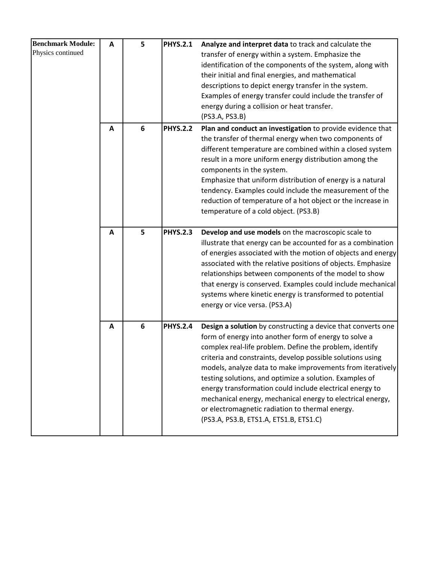| <b>Benchmark Module:</b> | A | 5 | <b>PHYS.2.1</b> | Analyze and interpret data to track and calculate the        |
|--------------------------|---|---|-----------------|--------------------------------------------------------------|
| Physics continued        |   |   |                 | transfer of energy within a system. Emphasize the            |
|                          |   |   |                 | identification of the components of the system, along with   |
|                          |   |   |                 | their initial and final energies, and mathematical           |
|                          |   |   |                 | descriptions to depict energy transfer in the system.        |
|                          |   |   |                 | Examples of energy transfer could include the transfer of    |
|                          |   |   |                 | energy during a collision or heat transfer.                  |
|                          |   |   |                 | (PS3.A, PS3.B)                                               |
|                          | A | 6 | <b>PHYS.2.2</b> | Plan and conduct an investigation to provide evidence that   |
|                          |   |   |                 | the transfer of thermal energy when two components of        |
|                          |   |   |                 | different temperature are combined within a closed system    |
|                          |   |   |                 | result in a more uniform energy distribution among the       |
|                          |   |   |                 | components in the system.                                    |
|                          |   |   |                 | Emphasize that uniform distribution of energy is a natural   |
|                          |   |   |                 | tendency. Examples could include the measurement of the      |
|                          |   |   |                 | reduction of temperature of a hot object or the increase in  |
|                          |   |   |                 | temperature of a cold object. (PS3.B)                        |
|                          |   |   |                 |                                                              |
|                          | A | 5 | <b>PHYS.2.3</b> | Develop and use models on the macroscopic scale to           |
|                          |   |   |                 | illustrate that energy can be accounted for as a combination |
|                          |   |   |                 | of energies associated with the motion of objects and energy |
|                          |   |   |                 | associated with the relative positions of objects. Emphasize |
|                          |   |   |                 | relationships between components of the model to show        |
|                          |   |   |                 | that energy is conserved. Examples could include mechanical  |
|                          |   |   |                 | systems where kinetic energy is transformed to potential     |
|                          |   |   |                 | energy or vice versa. (PS3.A)                                |
|                          |   |   |                 |                                                              |
|                          | A | 6 | <b>PHYS.2.4</b> | Design a solution by constructing a device that converts one |
|                          |   |   |                 | form of energy into another form of energy to solve a        |
|                          |   |   |                 | complex real-life problem. Define the problem, identify      |
|                          |   |   |                 | criteria and constraints, develop possible solutions using   |
|                          |   |   |                 | models, analyze data to make improvements from iteratively   |
|                          |   |   |                 | testing solutions, and optimize a solution. Examples of      |
|                          |   |   |                 | energy transformation could include electrical energy to     |
|                          |   |   |                 | mechanical energy, mechanical energy to electrical energy,   |
|                          |   |   |                 | or electromagnetic radiation to thermal energy.              |
|                          |   |   |                 | (PS3.A, PS3.B, ETS1.A, ETS1.B, ETS1.C)                       |
|                          |   |   |                 |                                                              |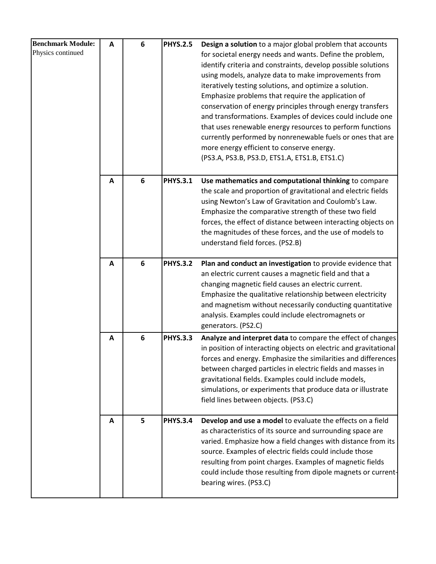| <b>Benchmark Module:</b> | A | 6 | <b>PHYS.2.5</b> | Design a solution to a major global problem that accounts                                                            |
|--------------------------|---|---|-----------------|----------------------------------------------------------------------------------------------------------------------|
| Physics continued        |   |   |                 | for societal energy needs and wants. Define the problem,                                                             |
|                          |   |   |                 | identify criteria and constraints, develop possible solutions                                                        |
|                          |   |   |                 | using models, analyze data to make improvements from                                                                 |
|                          |   |   |                 | iteratively testing solutions, and optimize a solution.                                                              |
|                          |   |   |                 | Emphasize problems that require the application of                                                                   |
|                          |   |   |                 | conservation of energy principles through energy transfers                                                           |
|                          |   |   |                 | and transformations. Examples of devices could include one                                                           |
|                          |   |   |                 | that uses renewable energy resources to perform functions                                                            |
|                          |   |   |                 | currently performed by nonrenewable fuels or ones that are                                                           |
|                          |   |   |                 | more energy efficient to conserve energy.                                                                            |
|                          |   |   |                 | (PS3.A, PS3.B, PS3.D, ETS1.A, ETS1.B, ETS1.C)                                                                        |
|                          | A | 6 | <b>PHYS.3.1</b> | Use mathematics and computational thinking to compare                                                                |
|                          |   |   |                 | the scale and proportion of gravitational and electric fields                                                        |
|                          |   |   |                 | using Newton's Law of Gravitation and Coulomb's Law.                                                                 |
|                          |   |   |                 | Emphasize the comparative strength of these two field                                                                |
|                          |   |   |                 | forces, the effect of distance between interacting objects on                                                        |
|                          |   |   |                 | the magnitudes of these forces, and the use of models to                                                             |
|                          |   |   |                 | understand field forces. (PS2.B)                                                                                     |
|                          |   | 6 | <b>PHYS.3.2</b> |                                                                                                                      |
|                          | A |   |                 | Plan and conduct an investigation to provide evidence that<br>an electric current causes a magnetic field and that a |
|                          |   |   |                 | changing magnetic field causes an electric current.                                                                  |
|                          |   |   |                 | Emphasize the qualitative relationship between electricity                                                           |
|                          |   |   |                 | and magnetism without necessarily conducting quantitative                                                            |
|                          |   |   |                 | analysis. Examples could include electromagnets or                                                                   |
|                          |   |   |                 | generators. (PS2.C)                                                                                                  |
|                          | A | 6 | <b>PHYS.3.3</b> | Analyze and interpret data to compare the effect of changes                                                          |
|                          |   |   |                 | in position of interacting objects on electric and gravitational                                                     |
|                          |   |   |                 | forces and energy. Emphasize the similarities and differences                                                        |
|                          |   |   |                 | between charged particles in electric fields and masses in                                                           |
|                          |   |   |                 | gravitational fields. Examples could include models,                                                                 |
|                          |   |   |                 | simulations, or experiments that produce data or illustrate                                                          |
|                          |   |   |                 | field lines between objects. (PS3.C)                                                                                 |
|                          | A | 5 | <b>PHYS.3.4</b> | Develop and use a model to evaluate the effects on a field                                                           |
|                          |   |   |                 | as characteristics of its source and surrounding space are                                                           |
|                          |   |   |                 | varied. Emphasize how a field changes with distance from its                                                         |
|                          |   |   |                 | source. Examples of electric fields could include those                                                              |
|                          |   |   |                 | resulting from point charges. Examples of magnetic fields                                                            |
|                          |   |   |                 | could include those resulting from dipole magnets or current-                                                        |
|                          |   |   |                 | bearing wires. (PS3.C)                                                                                               |